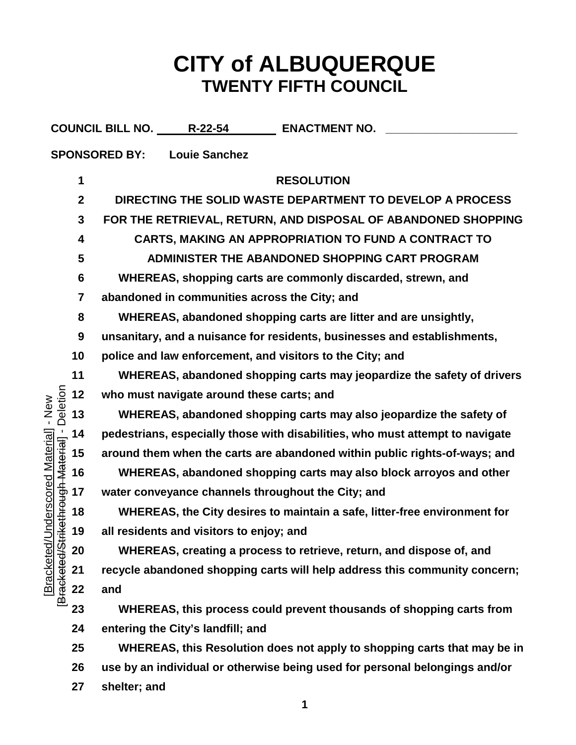## **CITY of ALBUQUERQUE TWENTY FIFTH COUNCIL**

|                                                        |                  | COUNCIL BILL NO. R-22-54 ENACTMENT NO.                                        |
|--------------------------------------------------------|------------------|-------------------------------------------------------------------------------|
|                                                        |                  | <b>Louie Sanchez</b><br><b>SPONSORED BY:</b>                                  |
|                                                        | 1                | <b>RESOLUTION</b>                                                             |
|                                                        | $\boldsymbol{2}$ | DIRECTING THE SOLID WASTE DEPARTMENT TO DEVELOP A PROCESS                     |
|                                                        | 3                | FOR THE RETRIEVAL, RETURN, AND DISPOSAL OF ABANDONED SHOPPING                 |
|                                                        | 4                | CARTS, MAKING AN APPROPRIATION TO FUND A CONTRACT TO                          |
|                                                        | 5                | ADMINISTER THE ABANDONED SHOPPING CART PROGRAM                                |
|                                                        | 6                | WHEREAS, shopping carts are commonly discarded, strewn, and                   |
|                                                        | 7                | abandoned in communities across the City; and                                 |
|                                                        | 8                | WHEREAS, abandoned shopping carts are litter and are unsightly,               |
|                                                        | 9                | unsanitary, and a nuisance for residents, businesses and establishments,      |
|                                                        | 10               | police and law enforcement, and visitors to the City; and                     |
|                                                        | 11               | WHEREAS, abandoned shopping carts may jeopardize the safety of drivers        |
| Deletion                                               | 12               | who must navigate around these carts; and                                     |
| $-$ New                                                | 13               | WHEREAS, abandoned shopping carts may also jeopardize the safety of           |
|                                                        | 14               | pedestrians, especially those with disabilities, who must attempt to navigate |
|                                                        | 15               | around them when the carts are abandoned within public rights-of-ways; and    |
|                                                        | 16               | WHEREAS, abandoned shopping carts may also block arroyos and other            |
| rikethrough Material] -<br><b>Underscored Material</b> | 17               | water conveyance channels throughout the City; and                            |
|                                                        | 18               | WHEREAS, the City desires to maintain a safe, litter-free environment for     |
|                                                        | 19               | all residents and visitors to enjoy; and                                      |
|                                                        | 20               | WHEREAS, creating a process to retrieve, return, and dispose of, and          |
| [Bracketed/                                            | 21               | recycle abandoned shopping carts will help address this community concern;    |
| Bracketed/St                                           | 22               | and                                                                           |
|                                                        | 23               | WHEREAS, this process could prevent thousands of shopping carts from          |
|                                                        | 24               | entering the City's landfill; and                                             |
|                                                        | 25               | WHEREAS, this Resolution does not apply to shopping carts that may be in      |
|                                                        | 26               | use by an individual or otherwise being used for personal belongings and/or   |

**shelter; and**